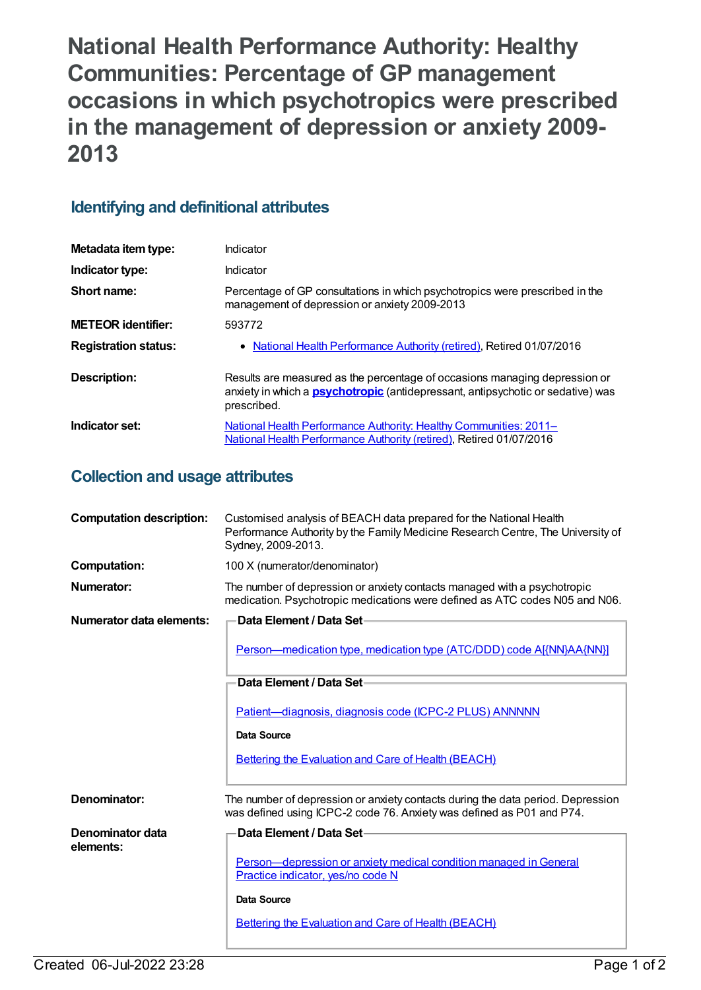**National Health Performance Authority: Healthy Communities: Percentage of GP management occasions in which psychotropics were prescribed in the management of depression or anxiety 2009- 2013**

## **Identifying and definitional attributes**

| Metadata item type:         | Indicator                                                                                                                                                                           |
|-----------------------------|-------------------------------------------------------------------------------------------------------------------------------------------------------------------------------------|
| Indicator type:             | Indicator                                                                                                                                                                           |
| Short name:                 | Percentage of GP consultations in which psychotropics were prescribed in the<br>management of depression or anxiety 2009-2013                                                       |
| <b>METEOR</b> identifier:   | 593772                                                                                                                                                                              |
| <b>Registration status:</b> | • National Health Performance Authority (retired), Retired 01/07/2016                                                                                                               |
| Description:                | Results are measured as the percentage of occasions managing depression or<br>anxiety in which a <b>psychotropic</b> (antidepressant, antipsychotic or sedative) was<br>prescribed. |
| Indicator set:              | National Health Performance Authority: Healthy Communities: 2011-<br>National Health Performance Authority (retired), Retired 01/07/2016                                            |

## **Collection and usage attributes**

| <b>Computation description:</b>                                                                                                                                          | Customised analysis of BEACH data prepared for the National Health<br>Performance Authority by the Family Medicine Research Centre, The University of<br>Sydney, 2009-2013. |
|--------------------------------------------------------------------------------------------------------------------------------------------------------------------------|-----------------------------------------------------------------------------------------------------------------------------------------------------------------------------|
| <b>Computation:</b>                                                                                                                                                      | 100 X (numerator/denominator)                                                                                                                                               |
| <b>Numerator:</b>                                                                                                                                                        | The number of depression or anxiety contacts managed with a psychotropic<br>medication. Psychotropic medications were defined as ATC codes N05 and N06.                     |
| Numerator data elements:                                                                                                                                                 | Data Element / Data Set-                                                                                                                                                    |
|                                                                                                                                                                          | Person—medication type, medication type (ATC/DDD) code A[{NN}AA{NN}]                                                                                                        |
|                                                                                                                                                                          | Data Element / Data Set-                                                                                                                                                    |
|                                                                                                                                                                          |                                                                                                                                                                             |
|                                                                                                                                                                          | Patient-diagnosis, diagnosis code (ICPC-2 PLUS) ANNNNN                                                                                                                      |
|                                                                                                                                                                          | <b>Data Source</b>                                                                                                                                                          |
|                                                                                                                                                                          | <b>Bettering the Evaluation and Care of Health (BEACH)</b>                                                                                                                  |
|                                                                                                                                                                          |                                                                                                                                                                             |
| Denominator:<br>The number of depression or anxiety contacts during the data period. Depression<br>was defined using ICPC-2 code 76. Anxiety was defined as P01 and P74. |                                                                                                                                                                             |
| Denominator data                                                                                                                                                         | Data Element / Data Set-                                                                                                                                                    |
| elements:                                                                                                                                                                | Person-depression or anxiety medical condition managed in General                                                                                                           |
|                                                                                                                                                                          | Practice indicator, yes/no code N                                                                                                                                           |
|                                                                                                                                                                          | Data Source                                                                                                                                                                 |
|                                                                                                                                                                          | <b>Bettering the Evaluation and Care of Health (BEACH)</b>                                                                                                                  |